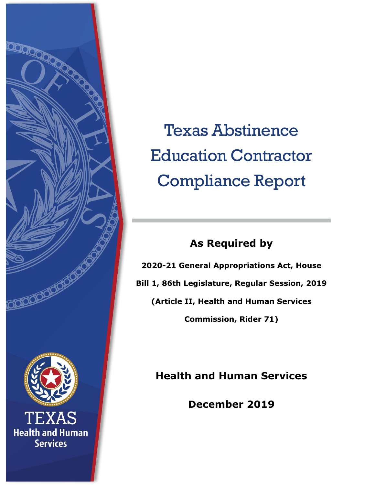

Texas Abstinence Education Contractor Compliance Report

# **As Required by**

**2020-21 General Appropriations Act, House Bill 1, 86th Legislature, Regular Session, 2019 (Article II, Health and Human Services Commission, Rider 71)**

**Health and Human Services**

**December 2019**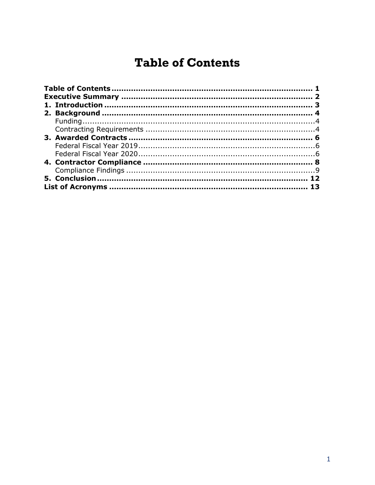# <span id="page-1-0"></span>**Table of Contents**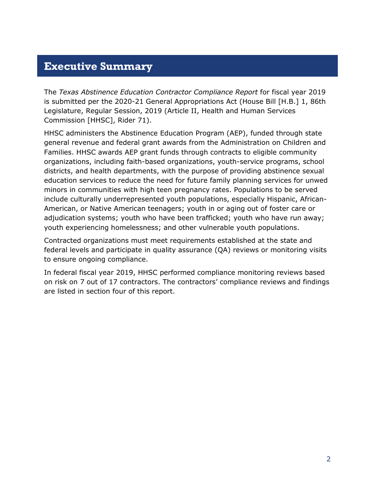#### <span id="page-2-0"></span>**Executive Summary**

The *Texas Abstinence Education Contractor Compliance Report* for fiscal year 2019 is submitted per the 2020-21 General Appropriations Act (House Bill [H.B.] 1, 86th Legislature, Regular Session, 2019 (Article II, Health and Human Services Commission [HHSC], Rider 71).

HHSC administers the Abstinence Education Program (AEP), funded through state general revenue and federal grant awards from the Administration on Children and Families. HHSC awards AEP grant funds through contracts to eligible community organizations, including faith-based organizations, youth-service programs, school districts, and health departments, with the purpose of providing abstinence sexual education services to reduce the need for future family planning services for unwed minors in communities with high teen pregnancy rates. Populations to be served include culturally underrepresented youth populations, especially Hispanic, African-American, or Native American teenagers; youth in or aging out of foster care or adjudication systems; youth who have been trafficked; youth who have run away; youth experiencing homelessness; and other vulnerable youth populations.

Contracted organizations must meet requirements established at the state and federal levels and participate in quality assurance (QA) reviews or monitoring visits to ensure ongoing compliance.

In federal fiscal year 2019, HHSC performed compliance monitoring reviews based on risk on 7 out of 17 contractors. The contractors' compliance reviews and findings are listed in section four of this report.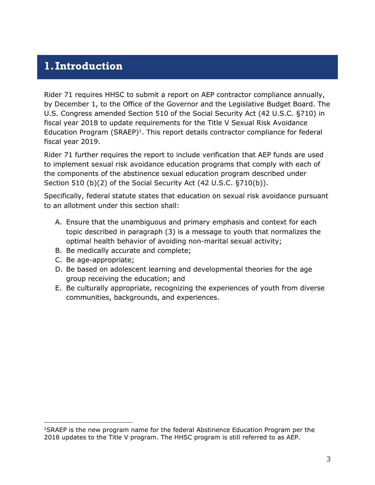#### <span id="page-3-0"></span>**1.Introduction**

Rider 71 requires HHSC to submit a report on AEP contractor compliance annually, by December 1, to the Office of the Governor and the Legislative Budget Board. The U.S. Congress amended Section 510 of the Social Security Act (42 U.S.C. §710) in fiscal year 2018 to update requirements for the Title V Sexual Risk Avoidance Education Program  $(SRAEP)^1$ . This report details contractor compliance for federal fiscal year 2019.

Rider 71 further requires the report to include verification that AEP funds are used to implement sexual risk avoidance education programs that comply with each of the components of the abstinence sexual education program described under Section 510 (b)(2) of the Social Security Act (42 U.S.C. §710(b)).

Specifically, federal statute states that education on sexual risk avoidance pursuant to an allotment under this section shall:

- A. Ensure that the unambiguous and primary emphasis and context for each topic described in paragraph (3) is a message to youth that normalizes the optimal health behavior of avoiding non-marital sexual activity;
- B. Be medically accurate and complete;
- C. Be age-appropriate;

 $\overline{a}$ 

- D. Be based on adolescent learning and developmental theories for the age group receiving the education; and
- E. Be culturally appropriate, recognizing the experiences of youth from diverse communities, backgrounds, and experiences.

<sup>1</sup>SRAEP is the new program name for the federal Abstinence Education Program per the 2018 updates to the Title V program. The HHSC program is still referred to as AEP.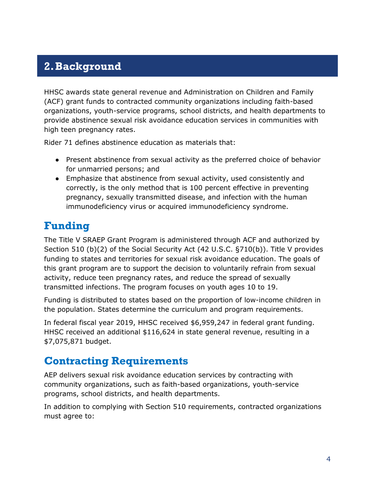# <span id="page-4-0"></span>**2.Background**

HHSC awards state general revenue and Administration on Children and Family (ACF) grant funds to contracted community organizations including faith-based organizations, youth-service programs, school districts, and health departments to provide abstinence sexual risk avoidance education services in communities with high teen pregnancy rates.

Rider 71 defines abstinence education as materials that:

- Present abstinence from sexual activity as the preferred choice of behavior for unmarried persons; and
- Emphasize that abstinence from sexual activity, used consistently and correctly, is the only method that is 100 percent effective in preventing pregnancy, sexually transmitted disease, and infection with the human immunodeficiency virus or acquired immunodeficiency syndrome.

#### <span id="page-4-1"></span>**Funding**

The Title V SRAEP Grant Program is administered through ACF and authorized by Section 510 (b)(2) of the Social Security Act (42 U.S.C. §710(b)). Title V provides funding to states and territories for sexual risk avoidance education. The goals of this grant program are to support the decision to voluntarily refrain from sexual activity, reduce teen pregnancy rates, and reduce the spread of sexually transmitted infections. The program focuses on youth ages 10 to 19.

Funding is distributed to states based on the proportion of low-income children in the population. States determine the curriculum and program requirements.

In federal fiscal year 2019, HHSC received \$6,959,247 in federal grant funding. HHSC received an additional \$116,624 in state general revenue, resulting in a \$7,075,871 budget.

#### <span id="page-4-2"></span>**Contracting Requirements**

AEP delivers sexual risk avoidance education services by contracting with community organizations, such as faith-based organizations, youth-service programs, school districts, and health departments.

In addition to complying with Section 510 requirements, contracted organizations must agree to: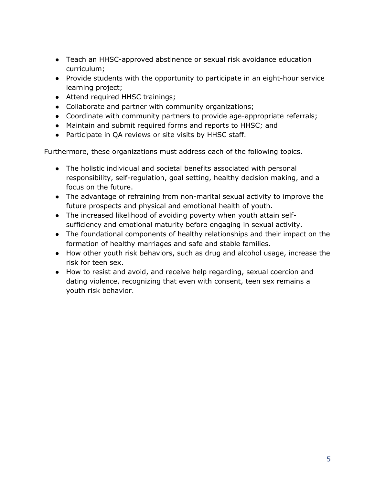- Teach an HHSC-approved abstinence or sexual risk avoidance education curriculum;
- Provide students with the opportunity to participate in an eight-hour service learning project;
- Attend required HHSC trainings;
- Collaborate and partner with community organizations;
- Coordinate with community partners to provide age-appropriate referrals;
- Maintain and submit required forms and reports to HHSC; and
- Participate in QA reviews or site visits by HHSC staff.

Furthermore, these organizations must address each of the following topics.

- The holistic individual and societal benefits associated with personal responsibility, self-regulation, goal setting, healthy decision making, and a focus on the future.
- The advantage of refraining from non-marital sexual activity to improve the future prospects and physical and emotional health of youth.
- The increased likelihood of avoiding poverty when youth attain selfsufficiency and emotional maturity before engaging in sexual activity.
- The foundational components of healthy relationships and their impact on the formation of healthy marriages and safe and stable families.
- How other youth risk behaviors, such as drug and alcohol usage, increase the risk for teen sex.
- How to resist and avoid, and receive help regarding, sexual coercion and dating violence, recognizing that even with consent, teen sex remains a youth risk behavior.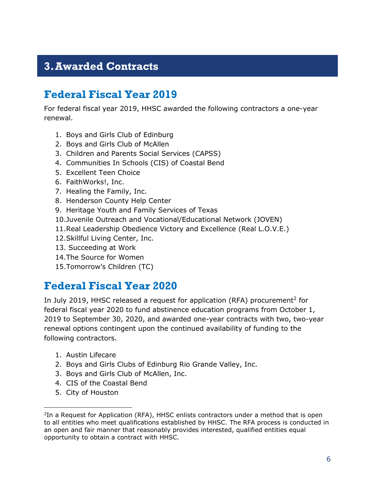### <span id="page-6-0"></span>**3.Awarded Contracts**

#### <span id="page-6-1"></span>**Federal Fiscal Year 2019**

For federal fiscal year 2019, HHSC awarded the following contractors a one-year renewal.

- 1. Boys and Girls Club of Edinburg
- 2. Boys and Girls Club of McAllen
- 3. Children and Parents Social Services (CAPSS)
- 4. Communities In Schools (CIS) of Coastal Bend
- 5. Excellent Teen Choice
- 6. FaithWorks!, Inc.
- 7. Healing the Family, Inc.
- 8. Henderson County Help Center
- 9. Heritage Youth and Family Services of Texas
- 10.Juvenile Outreach and Vocational/Educational Network (JOVEN)
- 11.Real Leadership Obedience Victory and Excellence (Real L.O.V.E.)
- 12.Skillful Living Center, Inc.
- 13. Succeeding at Work
- 14.The Source for Women
- 15.Tomorrow's Children (TC)

#### <span id="page-6-2"></span>**Federal Fiscal Year 2020**

In July 2019, HHSC released a request for application (RFA) procurement<sup>2</sup> for federal fiscal year 2020 to fund abstinence education programs from October 1, 2019 to September 30, 2020, and awarded one-year contracts with two, two-year renewal options contingent upon the continued availability of funding to the following contractors.

- 1. Austin Lifecare
- 2. Boys and Girls Clubs of Edinburg Rio Grande Valley, Inc.
- 3. Boys and Girls Club of McAllen, Inc.
- 4. CIS of the Coastal Bend
- 5. City of Houston

 $\overline{a}$ 

<sup>&</sup>lt;sup>2</sup>In a Request for Application (RFA), HHSC enlists contractors under a method that is open to all entities who meet qualifications established by HHSC. The RFA process is conducted in an open and fair manner that reasonably provides interested, qualified entities equal opportunity to obtain a contract with HHSC.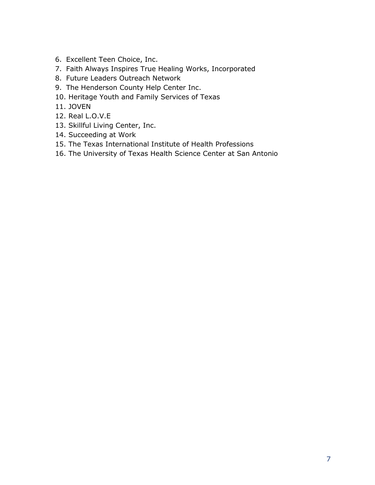- 6. Excellent Teen Choice, Inc.
- 7. Faith Always Inspires True Healing Works, Incorporated
- 8. Future Leaders Outreach Network
- 9. The Henderson County Help Center Inc.
- 10. Heritage Youth and Family Services of Texas
- 11. JOVEN
- 12. Real L.O.V.E
- 13. Skillful Living Center, Inc.
- 14. Succeeding at Work
- 15. The Texas International Institute of Health Professions
- 16. The University of Texas Health Science Center at San Antonio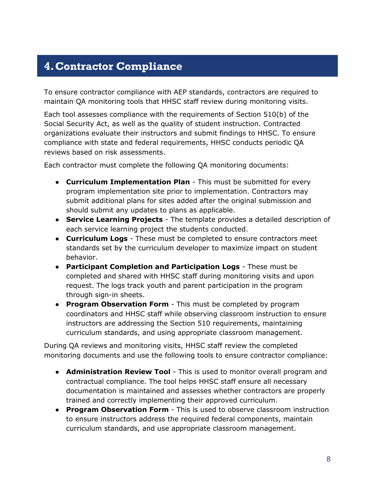## <span id="page-8-0"></span>**4.Contractor Compliance**

To ensure contractor compliance with AEP standards, contractors are required to maintain QA monitoring tools that HHSC staff review during monitoring visits.

Each tool assesses compliance with the requirements of Section 510(b) of the Social Security Act, as well as the quality of student instruction. Contracted organizations evaluate their instructors and submit findings to HHSC. To ensure compliance with state and federal requirements, HHSC conducts periodic QA reviews based on risk assessments.

Each contractor must complete the following QA monitoring documents:

- **Curriculum Implementation Plan**  This must be submitted for every program implementation site prior to implementation. Contractors may submit additional plans for sites added after the original submission and should submit any updates to plans as applicable.
- **Service Learning Projects**  The template provides a detailed description of each service learning project the students conducted.
- **Curriculum Logs**  These must be completed to ensure contractors meet standards set by the curriculum developer to maximize impact on student behavior.
- **Participant Completion and Participation Logs**  These must be completed and shared with HHSC staff during monitoring visits and upon request. The logs track youth and parent participation in the program through sign-in sheets.
- **Program Observation Form**  This must be completed by program coordinators and HHSC staff while observing classroom instruction to ensure instructors are addressing the Section 510 requirements, maintaining curriculum standards, and using appropriate classroom management.

During QA reviews and monitoring visits, HHSC staff review the completed monitoring documents and use the following tools to ensure contractor compliance:

- **Administration Review Tool**  This is used to monitor overall program and contractual compliance. The tool helps HHSC staff ensure all necessary documentation is maintained and assesses whether contractors are properly trained and correctly implementing their approved curriculum.
- **Program Observation Form**  This is used to observe classroom instruction to ensure instructors address the required federal components, maintain curriculum standards, and use appropriate classroom management.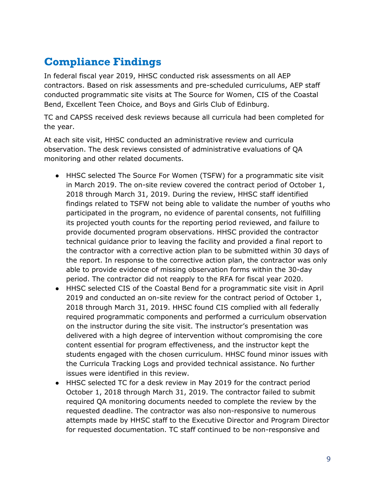# <span id="page-9-0"></span>**Compliance Findings**

In federal fiscal year 2019, HHSC conducted risk assessments on all AEP contractors. Based on risk assessments and pre-scheduled curriculums, AEP staff conducted programmatic site visits at The Source for Women, CIS of the Coastal Bend, Excellent Teen Choice, and Boys and Girls Club of Edinburg.

TC and CAPSS received desk reviews because all curricula had been completed for the year.

At each site visit, HHSC conducted an administrative review and curricula observation. The desk reviews consisted of administrative evaluations of QA monitoring and other related documents.

- HHSC selected The Source For Women (TSFW) for a programmatic site visit in March 2019. The on-site review covered the contract period of October 1, 2018 through March 31, 2019. During the review, HHSC staff identified findings related to TSFW not being able to validate the number of youths who participated in the program, no evidence of parental consents, not fulfilling its projected youth counts for the reporting period reviewed, and failure to provide documented program observations. HHSC provided the contractor technical guidance prior to leaving the facility and provided a final report to the contractor with a corrective action plan to be submitted within 30 days of the report. In response to the corrective action plan, the contractor was only able to provide evidence of missing observation forms within the 30-day period. The contractor did not reapply to the RFA for fiscal year 2020.
- HHSC selected CIS of the Coastal Bend for a programmatic site visit in April 2019 and conducted an on-site review for the contract period of October 1, 2018 through March 31, 2019. HHSC found CIS complied with all federally required programmatic components and performed a curriculum observation on the instructor during the site visit. The instructor's presentation was delivered with a high degree of intervention without compromising the core content essential for program effectiveness, and the instructor kept the students engaged with the chosen curriculum. HHSC found minor issues with the Curricula Tracking Logs and provided technical assistance. No further issues were identified in this review.
- HHSC selected TC for a desk review in May 2019 for the contract period October 1, 2018 through March 31, 2019. The contractor failed to submit required QA monitoring documents needed to complete the review by the requested deadline. The contractor was also non-responsive to numerous attempts made by HHSC staff to the Executive Director and Program Director for requested documentation. TC staff continued to be non-responsive and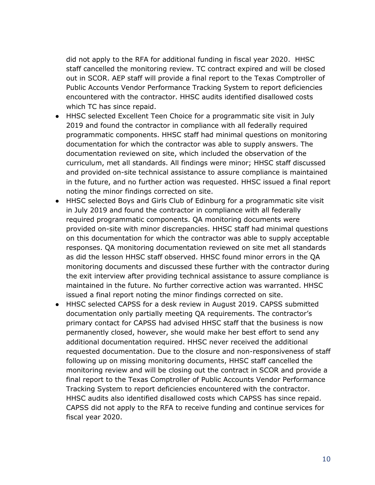did not apply to the RFA for additional funding in fiscal year 2020. HHSC staff cancelled the monitoring review. TC contract expired and will be closed out in SCOR. AEP staff will provide a final report to the Texas Comptroller of Public Accounts Vendor Performance Tracking System to report deficiencies encountered with the contractor. HHSC audits identified disallowed costs which TC has since repaid.

- HHSC selected Excellent Teen Choice for a programmatic site visit in July 2019 and found the contractor in compliance with all federally required programmatic components. HHSC staff had minimal questions on monitoring documentation for which the contractor was able to supply answers. The documentation reviewed on site, which included the observation of the curriculum, met all standards. All findings were minor; HHSC staff discussed and provided on-site technical assistance to assure compliance is maintained in the future, and no further action was requested. HHSC issued a final report noting the minor findings corrected on site.
- HHSC selected Boys and Girls Club of Edinburg for a programmatic site visit in July 2019 and found the contractor in compliance with all federally required programmatic components. QA monitoring documents were provided on-site with minor discrepancies. HHSC staff had minimal questions on this documentation for which the contractor was able to supply acceptable responses. QA monitoring documentation reviewed on site met all standards as did the lesson HHSC staff observed. HHSC found minor errors in the QA monitoring documents and discussed these further with the contractor during the exit interview after providing technical assistance to assure compliance is maintained in the future. No further corrective action was warranted. HHSC issued a final report noting the minor findings corrected on site.
- HHSC selected CAPSS for a desk review in August 2019. CAPSS submitted documentation only partially meeting QA requirements. The contractor's primary contact for CAPSS had advised HHSC staff that the business is now permanently closed, however, she would make her best effort to send any additional documentation required. HHSC never received the additional requested documentation. Due to the closure and non-responsiveness of staff following up on missing monitoring documents, HHSC staff cancelled the monitoring review and will be closing out the contract in SCOR and provide a final report to the Texas Comptroller of Public Accounts Vendor Performance Tracking System to report deficiencies encountered with the contractor. HHSC audits also identified disallowed costs which CAPSS has since repaid. CAPSS did not apply to the RFA to receive funding and continue services for fiscal year 2020.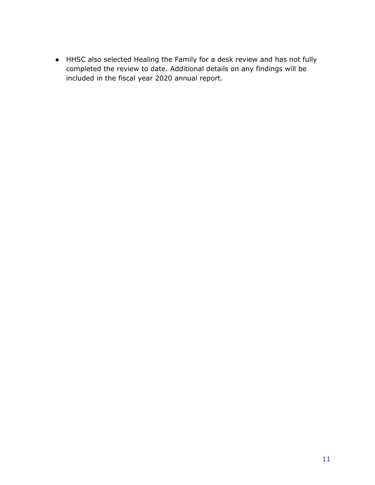● HHSC also selected Healing the Family for a desk review and has not fully completed the review to date. Additional details on any findings will be included in the fiscal year 2020 annual report.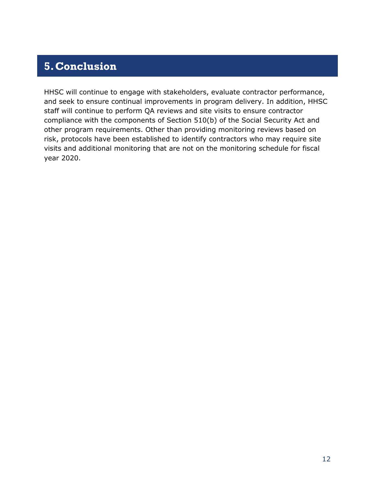### <span id="page-12-0"></span>**5.Conclusion**

HHSC will continue to engage with stakeholders, evaluate contractor performance, and seek to ensure continual improvements in program delivery. In addition, HHSC staff will continue to perform QA reviews and site visits to ensure contractor compliance with the components of Section 510(b) of the Social Security Act and other program requirements. Other than providing monitoring reviews based on risk, protocols have been established to identify contractors who may require site visits and additional monitoring that are not on the monitoring schedule for fiscal year 2020.